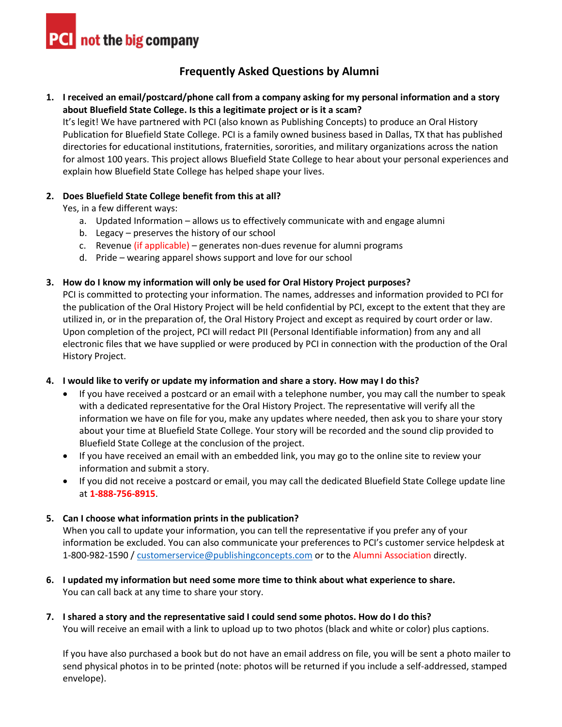**PCI** not the big company

# **Frequently Asked Questions by Alumni**

## **1. I received an email/postcard/phone call from a company asking for my personal information and a story about Bluefield State College. Is this a legitimate project or is it a scam?**

It's legit! We have partnered with PCI (also known as Publishing Concepts) to produce an Oral History Publication for Bluefield State College. PCI is a family owned business based in Dallas, TX that has published directories for educational institutions, fraternities, sororities, and military organizations across the nation for almost 100 years. This project allows Bluefield State College to hear about your personal experiences and explain how Bluefield State College has helped shape your lives.

### **2. Does Bluefield State College benefit from this at all?**

Yes, in a few different ways:

- a. Updated Information allows us to effectively communicate with and engage alumni
- b. Legacy preserves the history of our school
- c. Revenue (if applicable) generates non-dues revenue for alumni programs
- d. Pride wearing apparel shows support and love for our school

## **3. How do I know my information will only be used for Oral History Project purposes?**

PCI is committed to protecting your information. The names, addresses and information provided to PCI for the publication of the Oral History Project will be held confidential by PCI, except to the extent that they are utilized in, or in the preparation of, the Oral History Project and except as required by court order or law. Upon completion of the project, PCI will redact PII (Personal Identifiable information) from any and all electronic files that we have supplied or were produced by PCI in connection with the production of the Oral History Project.

### **4. I would like to verify or update my information and share a story. How may I do this?**

- If you have received a postcard or an email with a telephone number, you may call the number to speak with a dedicated representative for the Oral History Project. The representative will verify all the information we have on file for you, make any updates where needed, then ask you to share your story about your time at Bluefield State College. Your story will be recorded and the sound clip provided to Bluefield State College at the conclusion of the project.
- If you have received an email with an embedded link, you may go to the online site to review your information and submit a story.
- If you did not receive a postcard or email, you may call the dedicated Bluefield State College update line at **1-888-756-8915**.

## **5. Can I choose what information prints in the publication?**

When you call to update your information, you can tell the representative if you prefer any of your information be excluded. You can also communicate your preferences to PCI's customer service helpdesk at 1-800-982-1590 / [customerservice@publishingconcepts.com](mailto:customerservice@publishingconcepts.com) or to the Alumni Association directly.

- **6. I updated my information but need some more time to think about what experience to share.**  You can call back at any time to share your story.
- **7. I shared a story and the representative said I could send some photos. How do I do this?** You will receive an email with a link to upload up to two photos (black and white or color) plus captions.

If you have also purchased a book but do not have an email address on file, you will be sent a photo mailer to send physical photos in to be printed (note: photos will be returned if you include a self-addressed, stamped envelope).